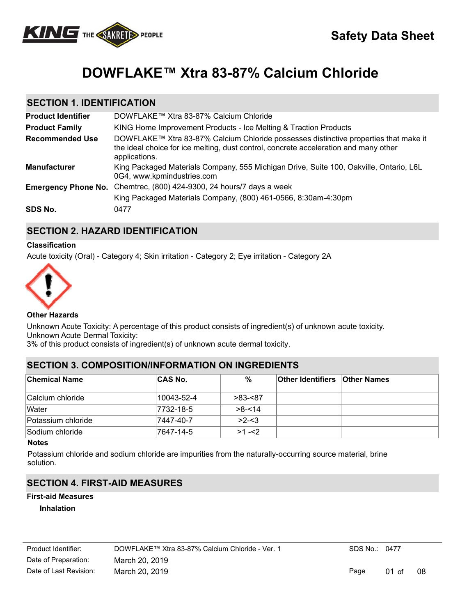

# **DOWFLAKE™ Xtra 83-87% Calcium Chloride**

# **SECTION 1. IDENTIFICATION**

| <b>Product Identifier</b>  | DOWFLAKE™ Xtra 83-87% Calcium Chloride                                                                                                                                                        |
|----------------------------|-----------------------------------------------------------------------------------------------------------------------------------------------------------------------------------------------|
| <b>Product Family</b>      | KING Home Improvement Products - Ice Melting & Traction Products                                                                                                                              |
| <b>Recommended Use</b>     | DOWFLAKE™ Xtra 83-87% Calcium Chloride possesses distinctive properties that make it<br>the ideal choice for ice melting, dust control, concrete acceleration and many other<br>applications. |
| <b>Manufacturer</b>        | King Packaged Materials Company, 555 Michigan Drive, Suite 100, Oakville, Ontario, L6L<br>0G4, www.kpmindustries.com                                                                          |
| <b>Emergency Phone No.</b> | Chemtrec, (800) 424-9300, 24 hours/7 days a week                                                                                                                                              |
|                            | King Packaged Materials Company, (800) 461-0566, 8:30am-4:30pm                                                                                                                                |
| SDS No.                    | 0477                                                                                                                                                                                          |

# **SECTION 2. HAZARD IDENTIFICATION**

#### **Classification**

Acute toxicity (Oral) - Category 4; Skin irritation - Category 2; Eye irritation - Category 2A



#### **Other Hazards**

Unknown Acute Toxicity: A percentage of this product consists of ingredient(s) of unknown acute toxicity. Unknown Acute Dermal Toxicity:

3% of this product consists of ingredient(s) of unknown acute dermal toxicity.

## **SECTION 3. COMPOSITION/INFORMATION ON INGREDIENTS**

| <b>Chemical Name</b> | <b>CAS No.</b> | $\%$       | <b>Other Identifiers Other Names</b> |  |
|----------------------|----------------|------------|--------------------------------------|--|
| Calcium chloride     | 10043-52-4     | $>83 - 87$ |                                      |  |
| Water                | 7732-18-5      | $>8 - 14$  |                                      |  |
| Potassium chloride   | 7447-40-7      | $>2 - 3$   |                                      |  |
| Sodium chloride      | 7647-14-5      | $>1 - 2$   |                                      |  |

**Notes**

Potassium chloride and sodium chloride are impurities from the naturally-occurring source material, brine solution.

# **SECTION 4. FIRST-AID MEASURES**

# **First-aid Measures**

**Inhalation**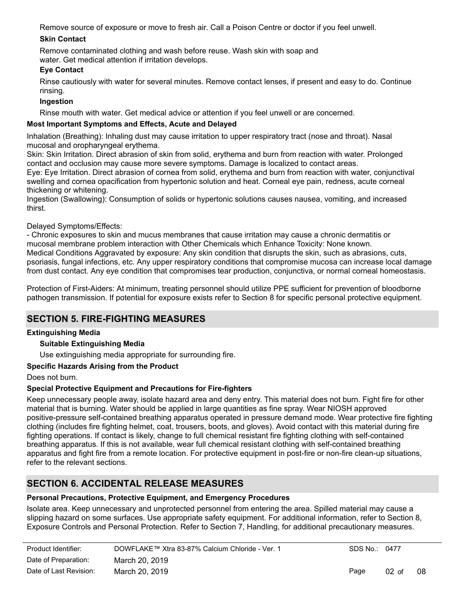Remove source of exposure or move to fresh air. Call a Poison Centre or doctor if you feel unwell.

## **Skin Contact**

Remove contaminated clothing and wash before reuse. Wash skin with soap and water. Get medical attention if irritation develops.

## **Eye Contact**

Rinse cautiously with water for several minutes. Remove contact lenses, if present and easy to do. Continue rinsing.

## **Ingestion**

Rinse mouth with water. Get medical advice or attention if you feel unwell or are concerned.

## **Most Important Symptoms and Effects, Acute and Delayed**

Inhalation (Breathing): Inhaling dust may cause irritation to upper respiratory tract (nose and throat). Nasal mucosal and oropharyngeal erythema.

Skin: Skin Irritation. Direct abrasion of skin from solid, erythema and burn from reaction with water. Prolonged contact and occlusion may cause more severe symptoms. Damage is localized to contact areas.

Eye: Eye Irritation. Direct abrasion of cornea from solid, erythema and burn from reaction with water, conjunctival swelling and cornea opacification from hypertonic solution and heat. Corneal eye pain, redness, acute corneal thickening or whitening.

Ingestion (Swallowing): Consumption of solids or hypertonic solutions causes nausea, vomiting, and increased thirst.

## Delayed Symptoms/Effects:

- Chronic exposures to skin and mucus membranes that cause irritation may cause a chronic dermatitis or mucosal membrane problem interaction with Other Chemicals which Enhance Toxicity: None known. Medical Conditions Aggravated by exposure: Any skin condition that disrupts the skin, such as abrasions, cuts, psoriasis, fungal infections, etc. Any upper respiratory conditions that compromise mucosa can increase local damage from dust contact. Any eye condition that compromises tear production, conjunctiva, or normal corneal homeostasis.

Protection of First-Aiders: At minimum, treating personnel should utilize PPE sufficient for prevention of bloodborne pathogen transmission. If potential for exposure exists refer to Section 8 for specific personal protective equipment.

# **SECTION 5. FIRE-FIGHTING MEASURES**

## **Extinguishing Media**

## **Suitable Extinguishing Media**

Use extinguishing media appropriate for surrounding fire.

## **Specific Hazards Arising from the Product**

Does not burn.

## **Special Protective Equipment and Precautions for Fire-fighters**

Keep unnecessary people away, isolate hazard area and deny entry. This material does not burn. Fight fire for other material that is burning. Water should be applied in large quantities as fine spray. Wear NIOSH approved positive-pressure self-contained breathing apparatus operated in pressure demand mode. Wear protective fire fighting clothing (includes fire fighting helmet, coat, trousers, boots, and gloves). Avoid contact with this material during fire fighting operations. If contact is likely, change to full chemical resistant fire fighting clothing with self-contained breathing apparatus. If this is not available, wear full chemical resistant clothing with self-contained breathing apparatus and fight fire from a remote location. For protective equipment in post-fire or non-fire clean-up situations, refer to the relevant sections.

# **SECTION 6. ACCIDENTAL RELEASE MEASURES**

#### **Personal Precautions, Protective Equipment, and Emergency Procedures**

Isolate area. Keep unnecessary and unprotected personnel from entering the area. Spilled material may cause a slipping hazard on some surfaces. Use appropriate safety equipment. For additional information, refer to Section 8, Exposure Controls and Personal Protection. Refer to Section 7, Handling, for additional precautionary measures.

| Product Identifier:    | DOWFLAKE™ Xtra 83-87% Calcium Chloride - Ver. 1 | SDS No.: 0477 |                 |    |
|------------------------|-------------------------------------------------|---------------|-----------------|----|
| Date of Preparation:   | March 20, 2019                                  |               |                 |    |
| Date of Last Revision: | March 20, 2019                                  | Page          | 02 <sub>o</sub> | 08 |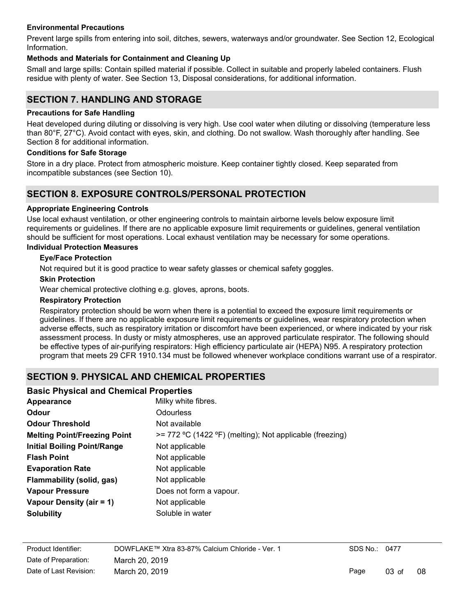#### **Environmental Precautions**

Prevent large spills from entering into soil, ditches, sewers, waterways and/or groundwater. See Section 12, Ecological Information.

#### **Methods and Materials for Containment and Cleaning Up**

Small and large spills: Contain spilled material if possible. Collect in suitable and properly labeled containers. Flush residue with plenty of water. See Section 13, Disposal considerations, for additional information.

# **SECTION 7. HANDLING AND STORAGE**

#### **Precautions for Safe Handling**

Heat developed during diluting or dissolving is very high. Use cool water when diluting or dissolving (temperature less than 80°F, 27°C). Avoid contact with eyes, skin, and clothing. Do not swallow. Wash thoroughly after handling. See Section 8 for additional information.

#### **Conditions for Safe Storage**

Store in a dry place. Protect from atmospheric moisture. Keep container tightly closed. Keep separated from incompatible substances (see Section 10).

## **SECTION 8. EXPOSURE CONTROLS/PERSONAL PROTECTION**

#### **Appropriate Engineering Controls**

Use local exhaust ventilation, or other engineering controls to maintain airborne levels below exposure limit requirements or quidelines. If there are no applicable exposure limit requirements or quidelines, general ventilation should be sufficient for most operations. Local exhaust ventilation may be necessary for some operations.

## **Individual Protection Measures**

#### **Eye/Face Protection**

Not required but it is good practice to wear safety glasses or chemical safety goggles.

#### **Skin Protection**

Wear chemical protective clothing e.g. gloves, aprons, boots.

#### **Respiratory Protection**

Respiratory protection should be worn when there is a potential to exceed the exposure limit requirements or guidelines. If there are no applicable exposure limit requirements or guidelines, wear respiratory protection when adverse effects, such as respiratory irritation or discomfort have been experienced, or where indicated by your risk assessment process. In dusty or misty atmospheres, use an approved particulate respirator. The following should be effective types of air-purifying respirators: High efficiency particulate air (HEPA) N95. A respiratory protection program that meets 29 CFR 1910.134 must be followed whenever workplace conditions warrant use of a respirator.

# **SECTION 9. PHYSICAL AND CHEMICAL PROPERTIES**

#### **Basic Physical and Chemical Properties**

| Appearance                          | Milky white fibres.                                         |
|-------------------------------------|-------------------------------------------------------------|
| Odour                               | Odourless                                                   |
| <b>Odour Threshold</b>              | Not available                                               |
| <b>Melting Point/Freezing Point</b> | $\ge$ 772 °C (1422 °F) (melting); Not applicable (freezing) |
| <b>Initial Boiling Point/Range</b>  | Not applicable                                              |
| <b>Flash Point</b>                  | Not applicable                                              |
| <b>Evaporation Rate</b>             | Not applicable                                              |
| Flammability (solid, gas)           | Not applicable                                              |
| <b>Vapour Pressure</b>              | Does not form a vapour.                                     |
| Vapour Density (air = 1)            | Not applicable                                              |
| <b>Solubility</b>                   | Soluble in water                                            |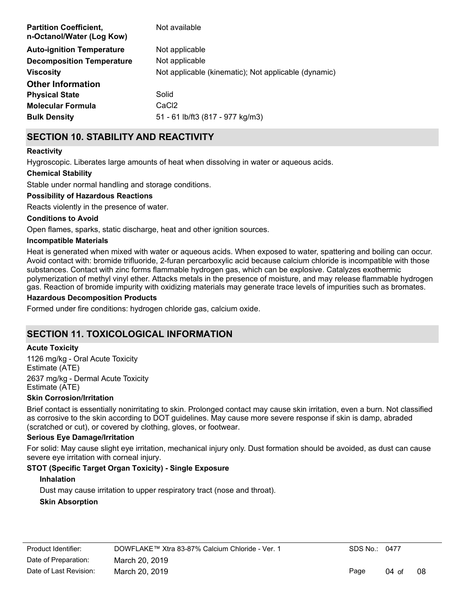| <b>Partition Coefficient,</b><br>n-Octanol/Water (Log Kow) | Not available                                        |
|------------------------------------------------------------|------------------------------------------------------|
| <b>Auto-ignition Temperature</b>                           | Not applicable                                       |
| <b>Decomposition Temperature</b>                           | Not applicable                                       |
| <b>Viscosity</b>                                           | Not applicable (kinematic); Not applicable (dynamic) |
| <b>Other Information</b>                                   |                                                      |
| <b>Physical State</b>                                      | Solid                                                |
| <b>Molecular Formula</b>                                   | CaC <sub>2</sub>                                     |
| <b>Bulk Density</b>                                        | 51 - 61 lb/ft3 (817 - 977 kg/m3)                     |

# **SECTION 10. STABILITY AND REACTIVITY**

#### **Reactivity**

Hygroscopic. Liberates large amounts of heat when dissolving in water or aqueous acids.

#### **Chemical Stability**

Stable under normal handling and storage conditions.

#### **Possibility of Hazardous Reactions**

Reacts violently in the presence of water.

#### **Conditions to Avoid**

Open flames, sparks, static discharge, heat and other ignition sources.

#### **Incompatible Materials**

Heat is generated when mixed with water or aqueous acids. When exposed to water, spattering and boiling can occur. Avoid contact with: bromide trifluoride, 2-furan percarboxylic acid because calcium chloride is incompatible with those substances. Contact with zinc forms flammable hydrogen gas, which can be explosive. Catalyzes exothermic polymerization of methyl vinyl ether. Attacks metals in the presence of moisture, and may release flammable hydrogen gas. Reaction of bromide impurity with oxidizing materials may generate trace levels of impurities such as bromates.

#### **Hazardous Decomposition Products**

Formed under fire conditions: hydrogen chloride gas, calcium oxide.

# **SECTION 11. TOXICOLOGICAL INFORMATION**

#### **Acute Toxicity**

1126 mg/kg - Oral Acute Toxicity Estimate (ATE) 2637 mg/kg - Dermal Acute Toxicity Estimate (ATE)

#### **Skin Corrosion/Irritation**

Brief contact is essentially nonirritating to skin. Prolonged contact may cause skin irritation, even a burn. Not classified as corrosive to the skin according to DOT guidelines. May cause more severe response if skin is damp, abraded (scratched or cut), or covered by clothing, gloves, or footwear.

#### **Serious Eye Damage/Irritation**

For solid: May cause slight eye irritation, mechanical injury only. Dust formation should be avoided, as dust can cause severe eye irritation with corneal injury.

#### **STOT (Specific Target Organ Toxicity) - Single Exposure**

#### **Inhalation**

Dust may cause irritation to upper respiratory tract (nose and throat).

#### **Skin Absorption**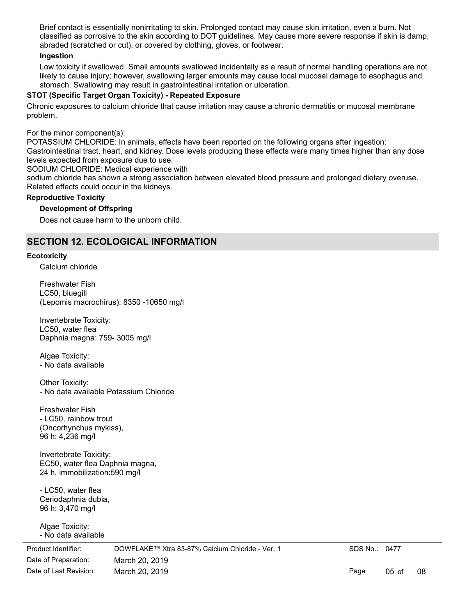Brief contact is essentially nonirritating to skin. Prolonged contact may cause skin irritation, even a burn. Not classified as corrosive to the skin according to DOT guidelines. May cause more severe response if skin is damp, abraded (scratched or cut), or covered by clothing, gloves, or footwear.

#### **Ingestion**

Low toxicity if swallowed. Small amounts swallowed incidentally as a result of normal handling operations are not likely to cause injury; however, swallowing larger amounts may cause local mucosal damage to esophagus and stomach. Swallowing may result in gastrointestinal irritation or ulceration.

#### **STOT (Specific Target Organ Toxicity) - Repeated Exposure**

Chronic exposures to calcium chloride that cause irritation may cause a chronic dermatitis or mucosal membrane problem.

For the minor component(s):

POTASSIUM CHLORIDE: In animals, effects have been reported on the following organs after ingestion: Gastrointestinal tract, heart, and kidney. Dose levels producing these effects were many times higher than any dose levels expected from exposure due to use.

SODIUM CHLORIDE: Medical experience with

sodium chloride has shown a strong association between elevated blood pressure and prolonged dietary overuse. Related effects could occur in the kidneys.

#### **Reproductive Toxicity**

#### **Development of Offspring**

Does not cause harm to the unborn child.

# **SECTION 12. ECOLOGICAL INFORMATION**

#### **Ecotoxicity**

Calcium chloride

Freshwater Fish LC50, bluegill (Lepomis macrochirus): 8350 -10650 mg/l

Invertebrate Toxicity: LC50, water flea Daphnia magna: 759- 3005 mg/l

Algae Toxicity: - No data available

Other Toxicity: - No data available Potassium Chloride

Freshwater Fish - LC50, rainbow trout (Oncorhynchus mykiss), 96 h: 4,236 mg/l

Invertebrate Toxicity: EC50, water flea Daphnia magna, 24 h, immobilization:590 mg/l

- LC50, water flea Ceriodaphnia dubia, 96 h: 3,470 mg/l

Algae Toxicity: - No data available

Date of Preparation: March 20, 2019 Product Identifier: DOWFLAKE™ Xtra 83-87% Calcium Chloride - Ver. 1 Date of Last Revision: March 20, 2019

SDS No.: 0477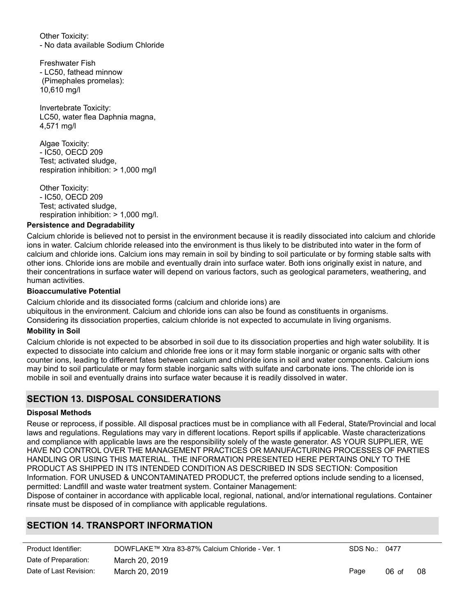Other Toxicity: - No data available Sodium Chloride

Freshwater Fish - LC50, fathead minnow (Pimephales promelas): 10,610 mg/l

Invertebrate Toxicity: LC50, water flea Daphnia magna, 4,571 mg/l

Algae Toxicity: - IC50, OECD 209 Test; activated sludge, respiration inhibition: > 1,000 mg/l

Other Toxicity: - IC50, OECD 209 Test; activated sludge, respiration inhibition: > 1,000 mg/l.

#### **Persistence and Degradability**

Calcium chloride is believed not to persist in the environment because it is readily dissociated into calcium and chloride ions in water. Calcium chloride released into the environment is thus likely to be distributed into water in the form of calcium and chloride ions. Calcium ions may remain in soil by binding to soil particulate or by forming stable salts with other ions. Chloride ions are mobile and eventually drain into surface water. Both ions originally exist in nature, and their concentrations in surface water will depend on various factors, such as geological parameters, weathering, and human activities.

#### **Bioaccumulative Potential**

Calcium chloride and its dissociated forms (calcium and chloride ions) are ubiquitous in the environment. Calcium and chloride ions can also be found as constituents in organisms. Considering its dissociation properties, calcium chloride is not expected to accumulate in living organisms.

#### **Mobility in Soil**

Calcium chloride is not expected to be absorbed in soil due to its dissociation properties and high water solubility. It is expected to dissociate into calcium and chloride free ions or it may form stable inorganic or organic salts with other counter ions, leading to different fates between calcium and chloride ions in soil and water components. Calcium ions may bind to soil particulate or may form stable inorganic salts with sulfate and carbonate ions. The chloride ion is mobile in soil and eventually drains into surface water because it is readily dissolved in water.

# **SECTION 13. DISPOSAL CONSIDERATIONS**

#### **Disposal Methods**

Reuse or reprocess, if possible. All disposal practices must be in compliance with all Federal, State/Provincial and local laws and regulations. Regulations may vary in different locations. Report spills if applicable. Waste characterizations and compliance with applicable laws are the responsibility solely of the waste generator. AS YOUR SUPPLIER, WE HAVE NO CONTROL OVER THE MANAGEMENT PRACTICES OR MANUFACTURING PROCESSES OF PARTIES HANDLING OR USING THIS MATERIAL. THE INFORMATION PRESENTED HERE PERTAINS ONLY TO THE PRODUCT AS SHIPPED IN ITS INTENDED CONDITION AS DESCRIBED IN SDS SECTION: Composition Information. FOR UNUSED & UNCONTAMINATED PRODUCT, the preferred options include sending to a licensed, permitted: Landfill and waste water treatment system. Container Management:

Dispose of container in accordance with applicable local, regional, national, and/or international regulations. Container rinsate must be disposed of in compliance with applicable regulations.

# **SECTION 14. TRANSPORT INFORMATION**

| Product Identifier:    | DOWFLAKE™ Xtra 83-87% Calcium Chloride - Ver. 1 | SDS No.: 0477 |                 |    |
|------------------------|-------------------------------------------------|---------------|-----------------|----|
| Date of Preparation:   | March 20, 2019                                  |               |                 |    |
| Date of Last Revision: | March 20, 2019                                  | Page          | $06 \text{ of}$ | 08 |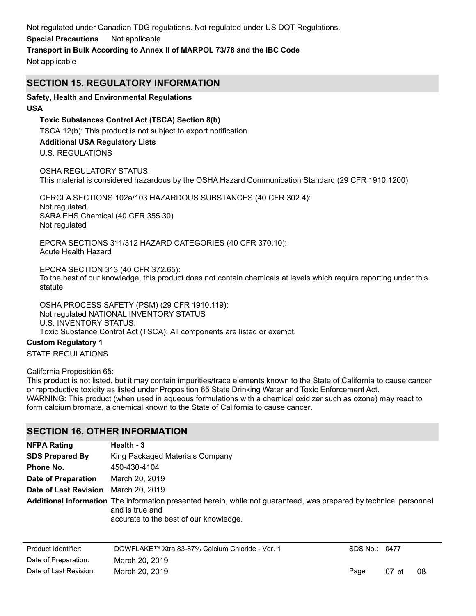Not regulated under Canadian TDG regulations. Not regulated under US DOT Regulations.

#### **Special Precautions** Not applicable

**Transport in Bulk According to Annex II of MARPOL 73/78 and the IBC Code**

Not applicable

## **SECTION 15. REGULATORY INFORMATION**

## **Safety, Health and Environmental Regulations**

#### **USA**

**Toxic Substances Control Act (TSCA) Section 8(b)** TSCA 12(b): This product is not subject to export notification. **Additional USA Regulatory Lists**

U.S. REGULATIONS

OSHA REGULATORY STATUS: This material is considered hazardous by the OSHA Hazard Communication Standard (29 CFR 1910.1200)

CERCLA SECTIONS 102a/103 HAZARDOUS SUBSTANCES (40 CFR 302.4): Not regulated. SARA EHS Chemical (40 CFR 355.30) Not regulated

EPCRA SECTIONS 311/312 HAZARD CATEGORIES (40 CFR 370.10): Acute Health Hazard

EPCRA SECTION 313 (40 CFR 372.65): To the best of our knowledge, this product does not contain chemicals at levels which require reporting under this statute

OSHA PROCESS SAFETY (PSM) (29 CFR 1910.119): Not regulated NATIONAL INVENTORY STATUS U.S. INVENTORY STATUS: Toxic Substance Control Act (TSCA): All components are listed or exempt.

## **Custom Regulatory 1**

STATE REGULATIONS

California Proposition 65:

This product is not listed, but it may contain impurities/trace elements known to the State of California to cause cancer or reproductive toxicity as listed under Proposition 65 State Drinking Water and Toxic Enforcement Act. WARNING: This product (when used in aqueous formulations with a chemical oxidizer such as ozone) may react to form calcium bromate, a chemical known to the State of California to cause cancer.

## **SECTION 16. OTHER INFORMATION**

| <b>NFPA Rating</b>                   | Health - 3                                                                                                                                                                      |
|--------------------------------------|---------------------------------------------------------------------------------------------------------------------------------------------------------------------------------|
| <b>SDS Prepared By</b>               | King Packaged Materials Company                                                                                                                                                 |
| Phone No.                            | 450-430-4104                                                                                                                                                                    |
| Date of Preparation                  | March 20, 2019                                                                                                                                                                  |
| Date of Last Revision March 20, 2019 |                                                                                                                                                                                 |
|                                      | Additional Information The information presented herein, while not guaranteed, was prepared by technical personnel<br>and is true and<br>accurate to the best of our knowledge. |

| Product Identifier:    | DOWFLAKE™ Xtra 83-87% Calcium Chloride - Ver. 1 | SDS No.: 0477 |                 |    |
|------------------------|-------------------------------------------------|---------------|-----------------|----|
| Date of Preparation:   | March 20, 2019                                  |               |                 |    |
| Date of Last Revision: | March 20, 2019                                  | Page          | $07 \text{ of}$ | 08 |